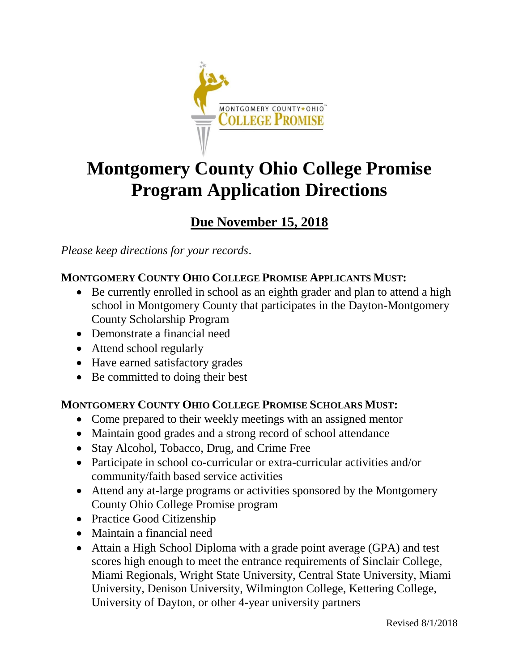

# **Montgomery County Ohio College Promise Program Application Directions**

# **Due November 15, 2018**

*Please keep directions for your records*.

## **MONTGOMERY COUNTY OHIO COLLEGE PROMISE APPLICANTS MUST:**

- Be currently enrolled in school as an eighth grader and plan to attend a high school in Montgomery County that participates in the Dayton-Montgomery County Scholarship Program
- Demonstrate a financial need
- Attend school regularly
- Have earned satisfactory grades
- Be committed to doing their best

## **MONTGOMERY COUNTY OHIO COLLEGE PROMISE SCHOLARS MUST:**

- Come prepared to their weekly meetings with an assigned mentor
- Maintain good grades and a strong record of school attendance
- Stay Alcohol, Tobacco, Drug, and Crime Free
- Participate in school co-curricular or extra-curricular activities and/or community/faith based service activities
- Attend any at-large programs or activities sponsored by the Montgomery County Ohio College Promise program
- Practice Good Citizenship
- Maintain a financial need
- Attain a High School Diploma with a grade point average (GPA) and test scores high enough to meet the entrance requirements of Sinclair College, Miami Regionals, Wright State University, Central State University, Miami University, Denison University, Wilmington College, Kettering College, University of Dayton, or other 4-year university partners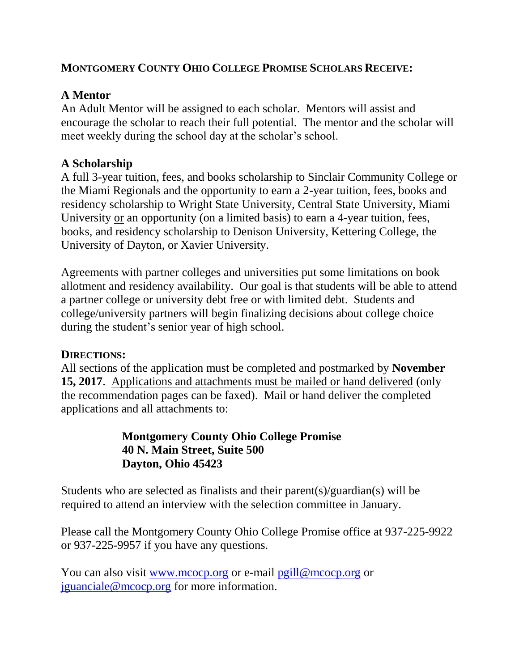### **MONTGOMERY COUNTY OHIO COLLEGE PROMISE SCHOLARS RECEIVE:**

## **A Mentor**

An Adult Mentor will be assigned to each scholar. Mentors will assist and encourage the scholar to reach their full potential. The mentor and the scholar will meet weekly during the school day at the scholar's school.

## **A Scholarship**

A full 3-year tuition, fees, and books scholarship to Sinclair Community College or the Miami Regionals and the opportunity to earn a 2-year tuition, fees, books and residency scholarship to Wright State University, Central State University, Miami University or an opportunity (on a limited basis) to earn a 4-year tuition, fees, books, and residency scholarship to Denison University, Kettering College, the University of Dayton, or Xavier University.

Agreements with partner colleges and universities put some limitations on book allotment and residency availability. Our goal is that students will be able to attend a partner college or university debt free or with limited debt. Students and college/university partners will begin finalizing decisions about college choice during the student's senior year of high school.

#### **DIRECTIONS:**

All sections of the application must be completed and postmarked by **November 15, 2017**. Applications and attachments must be mailed or hand delivered (only the recommendation pages can be faxed). Mail or hand deliver the completed applications and all attachments to:

## **Montgomery County Ohio College Promise 40 N. Main Street, Suite 500 Dayton, Ohio 45423**

Students who are selected as finalists and their parent(s)/guardian(s) will be required to attend an interview with the selection committee in January.

Please call the Montgomery County Ohio College Promise office at 937-225-9922 or 937-225-9957 if you have any questions.

You can also visit [www.mcocp.org](http://www.mcocp.org/) or e-mail [pgill@mcocp.org](mailto:pgill@mcocp.org) or [jguanciale@mcocp.org](mailto:jguanciale@mcocp.org) for more information.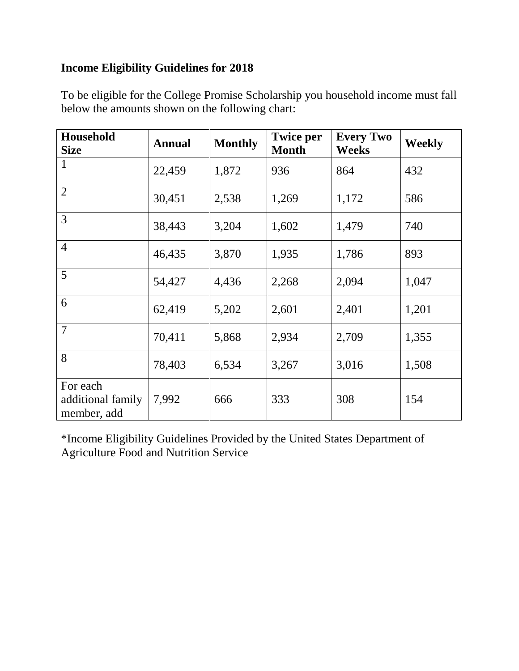# **Income Eligibility Guidelines for 2018**

| Household<br><b>Size</b>                     | <b>Annual</b> | <b>Monthly</b> | <b>Twice per</b><br><b>Month</b> | <b>Every Two</b><br><b>Weeks</b> | <b>Weekly</b> |
|----------------------------------------------|---------------|----------------|----------------------------------|----------------------------------|---------------|
| $\mathbf{1}$                                 | 22,459        | 1,872          | 936                              | 864                              | 432           |
| $\overline{2}$                               | 30,451        | 2,538          | 1,269                            | 1,172                            | 586           |
| 3                                            | 38,443        | 3,204          | 1,602                            | 1,479                            | 740           |
| $\overline{4}$                               | 46,435        | 3,870          | 1,935                            | 1,786                            | 893           |
| 5                                            | 54,427        | 4,436          | 2,268                            | 2,094                            | 1,047         |
| 6                                            | 62,419        | 5,202          | 2,601                            | 2,401                            | 1,201         |
| $\overline{7}$                               | 70,411        | 5,868          | 2,934                            | 2,709                            | 1,355         |
| 8                                            | 78,403        | 6,534          | 3,267                            | 3,016                            | 1,508         |
| For each<br>additional family<br>member, add | 7,992         | 666            | 333                              | 308                              | 154           |

To be eligible for the College Promise Scholarship you household income must fall below the amounts shown on the following chart:

\*Income Eligibility Guidelines Provided by the United States Department of Agriculture Food and Nutrition Service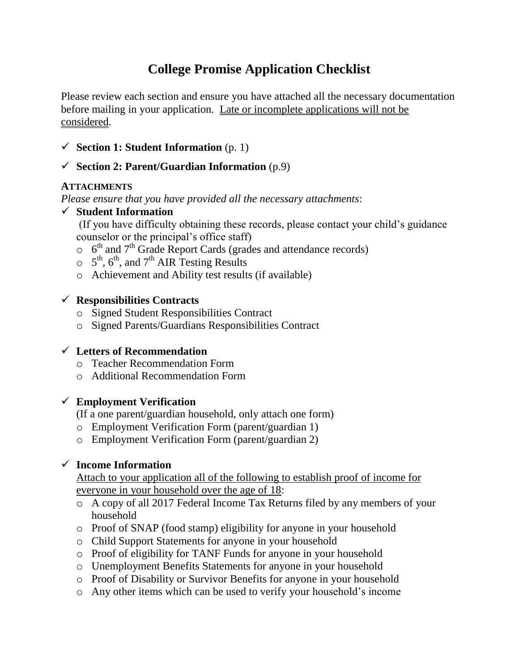# **College Promise Application Checklist**

Please review each section and ensure you have attached all the necessary documentation before mailing in your application. Late or incomplete applications will not be considered.

 $\checkmark$  **Section 1: Student Information** (p. 1)

#### **Section 2: Parent/Guardian Information** (p.9)

#### **ATTACHMENTS**

*Please ensure that you have provided all the necessary attachments*:

#### **Student Information**

(If you have difficulty obtaining these records, please contact your child's guidance counselor or the principal's office staff)

- $\circ$  6<sup>th</sup> and 7<sup>th</sup> Grade Report Cards (grades and attendance records)
- $5^{\text{th}}$ , 6<sup>th</sup>, and 7<sup>th</sup> AIR Testing Results
- o Achievement and Ability test results (if available)

#### **Responsibilities Contracts**

- o Signed Student Responsibilities Contract
- o Signed Parents/Guardians Responsibilities Contract

#### **Letters of Recommendation**

- o Teacher Recommendation Form
- o Additional Recommendation Form

#### **Employment Verification**

(If a one parent/guardian household, only attach one form)

- o Employment Verification Form (parent/guardian 1)
- o Employment Verification Form (parent/guardian 2)

#### **Income Information**

Attach to your application all of the following to establish proof of income for everyone in your household over the age of 18:

- o A copy of all 2017 Federal Income Tax Returns filed by any members of your household
- o Proof of SNAP (food stamp) eligibility for anyone in your household
- o Child Support Statements for anyone in your household
- o Proof of eligibility for TANF Funds for anyone in your household
- o Unemployment Benefits Statements for anyone in your household
- o Proof of Disability or Survivor Benefits for anyone in your household
- o Any other items which can be used to verify your household's income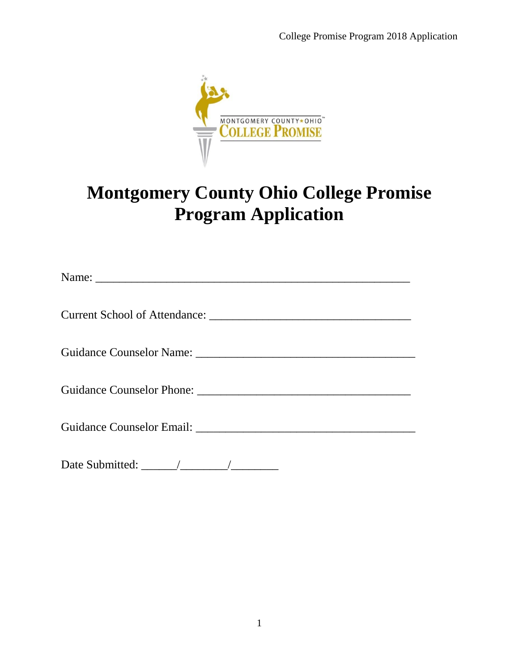

# **Montgomery County Ohio College Promise Program Application**

| Guidance Counselor Email: Campain Counter and Counselor Email: |
|----------------------------------------------------------------|
|                                                                |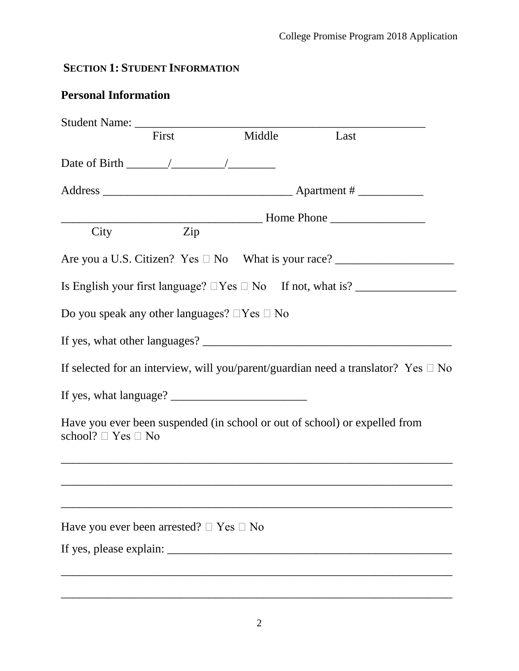# **SECTION 1: STUDENT INFORMATION**

# **Personal Information**

|                                                   | First | Middle                                                 | Last                                                                                    |
|---------------------------------------------------|-------|--------------------------------------------------------|-----------------------------------------------------------------------------------------|
|                                                   |       |                                                        |                                                                                         |
|                                                   |       |                                                        |                                                                                         |
|                                                   |       |                                                        |                                                                                         |
| City                                              | Zip   |                                                        |                                                                                         |
|                                                   |       |                                                        |                                                                                         |
|                                                   |       |                                                        |                                                                                         |
|                                                   |       | Do you speak any other languages? $\Box$ Yes $\Box$ No |                                                                                         |
|                                                   |       |                                                        |                                                                                         |
|                                                   |       |                                                        | If selected for an interview, will you/parent/guardian need a translator? Yes $\Box$ No |
|                                                   |       |                                                        |                                                                                         |
| school? $\Box$ Yes $\Box$ No                      |       |                                                        | Have you ever been suspended (in school or out of school) or expelled from              |
|                                                   |       |                                                        |                                                                                         |
| Have you ever been arrested? $\Box$ Yes $\Box$ No |       |                                                        |                                                                                         |
|                                                   |       |                                                        |                                                                                         |
|                                                   |       |                                                        |                                                                                         |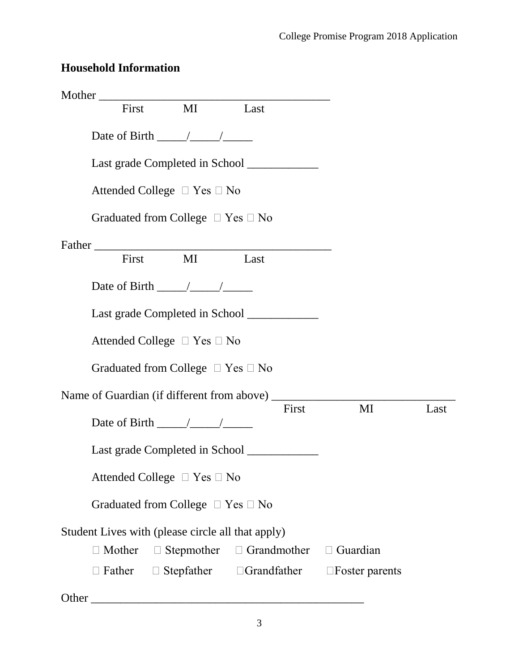# **Household Information**

| Mother First MI Last                              |  |                                                      |                                                                          |      |
|---------------------------------------------------|--|------------------------------------------------------|--------------------------------------------------------------------------|------|
| Date of Birth $\frac{\sqrt{2}}{2}$                |  |                                                      |                                                                          |      |
|                                                   |  | Last grade Completed in School _____________         |                                                                          |      |
| Attended College $\Box$ Yes $\Box$ No             |  |                                                      |                                                                          |      |
| Graduated from College $\Box$ Yes $\Box$ No       |  |                                                      |                                                                          |      |
|                                                   |  |                                                      |                                                                          |      |
| Father First MI Last                              |  |                                                      |                                                                          |      |
| Date of Birth $\frac{\sqrt{2}}{2}$                |  |                                                      |                                                                          |      |
|                                                   |  | Last grade Completed in School _____________         |                                                                          |      |
| Attended College $\Box$ Yes $\Box$ No             |  |                                                      |                                                                          |      |
| Graduated from College $\Box$ Yes $\Box$ No       |  |                                                      |                                                                          |      |
|                                                   |  |                                                      |                                                                          |      |
| Date of Birth $\frac{\sqrt{2}}{2}$                |  | First                                                | $\mathbf{M}$ I                                                           | Last |
|                                                   |  | Last grade Completed in School ____________          |                                                                          |      |
| Attended College $\Box$ Yes $\Box$ No             |  |                                                      |                                                                          |      |
| Graduated from College $\Box$ Yes $\Box$ No       |  |                                                      |                                                                          |      |
| Student Lives with (please circle all that apply) |  |                                                      |                                                                          |      |
| $\Box$ Mother                                     |  | $\Box$ Stepmother $\Box$ Grandmother $\Box$ Guardian |                                                                          |      |
|                                                   |  |                                                      | $\Box$ Father $\Box$ Stepfather $\Box$ Grandfather $\Box$ Foster parents |      |
|                                                   |  |                                                      |                                                                          |      |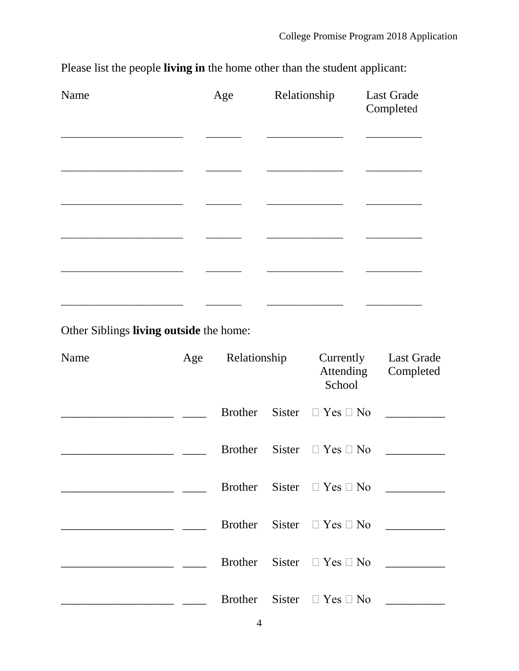| Name | Age | Relationship | Last Grade<br>Completed |
|------|-----|--------------|-------------------------|
|      |     |              |                         |
|      |     |              |                         |
|      |     |              |                         |
|      |     |              |                         |

Please list the people **living in** the home other than the student applicant:

Other Siblings **living outside** the home:

| Name | Age | Relationship   |  | Currently<br>Attending<br>School    | <b>Last Grade</b><br>Completed |
|------|-----|----------------|--|-------------------------------------|--------------------------------|
|      |     | Brother        |  | Sister $\Box$ Yes $\Box$ No         |                                |
|      |     |                |  | Brother Sister $\Box$ Yes $\Box$ No |                                |
|      |     | Brother        |  | Sister $\Box$ Yes $\Box$ No         |                                |
|      |     | Brother        |  | Sister $\Box$ Yes $\Box$ No         |                                |
|      |     |                |  | Brother Sister $\Box$ Yes $\Box$ No |                                |
|      |     | Brother Sister |  | $\Box$ Yes $\Box$ No                |                                |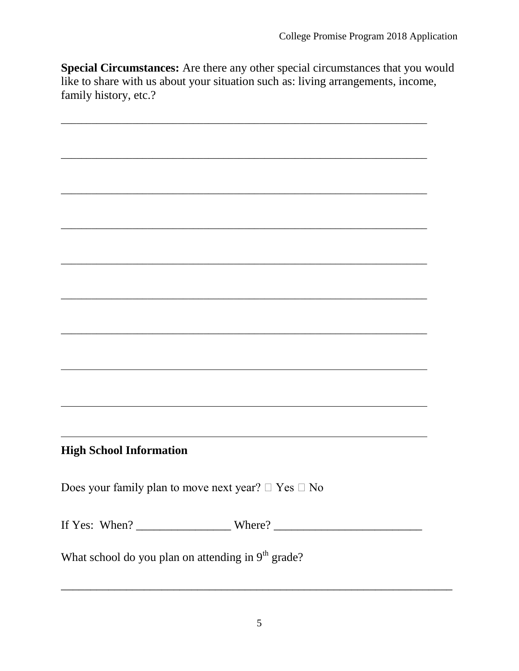**Special Circumstances:** Are there any other special circumstances that you would like to share with us about your situation such as: living arrangements, income, family history, etc.?

\_\_\_\_\_\_\_\_\_\_\_\_\_\_\_\_\_\_\_\_\_\_\_\_\_\_\_\_\_\_\_\_\_\_\_\_\_\_\_\_\_\_\_\_\_\_\_\_\_\_\_\_\_\_\_\_\_\_\_\_\_\_\_\_\_\_\_\_\_\_\_\_

\_\_\_\_\_\_\_\_\_\_\_\_\_\_\_\_\_\_\_\_\_\_\_\_\_\_\_\_\_\_\_\_\_\_\_\_\_\_\_\_\_\_\_\_\_\_\_\_\_\_\_\_\_\_\_\_\_\_\_\_\_\_\_\_\_\_\_\_\_\_\_\_

\_\_\_\_\_\_\_\_\_\_\_\_\_\_\_\_\_\_\_\_\_\_\_\_\_\_\_\_\_\_\_\_\_\_\_\_\_\_\_\_\_\_\_\_\_\_\_\_\_\_\_\_\_\_\_\_\_\_\_\_\_\_\_\_\_\_\_\_\_\_\_\_

\_\_\_\_\_\_\_\_\_\_\_\_\_\_\_\_\_\_\_\_\_\_\_\_\_\_\_\_\_\_\_\_\_\_\_\_\_\_\_\_\_\_\_\_\_\_\_\_\_\_\_\_\_\_\_\_\_\_\_\_\_\_\_\_\_\_\_\_\_\_\_\_

\_\_\_\_\_\_\_\_\_\_\_\_\_\_\_\_\_\_\_\_\_\_\_\_\_\_\_\_\_\_\_\_\_\_\_\_\_\_\_\_\_\_\_\_\_\_\_\_\_\_\_\_\_\_\_\_\_\_\_\_\_\_\_\_\_\_\_\_\_\_\_\_

\_\_\_\_\_\_\_\_\_\_\_\_\_\_\_\_\_\_\_\_\_\_\_\_\_\_\_\_\_\_\_\_\_\_\_\_\_\_\_\_\_\_\_\_\_\_\_\_\_\_\_\_\_\_\_\_\_\_\_\_\_\_\_\_\_\_\_\_\_\_\_\_

 $\mathcal{L}_\mathcal{L} = \{ \mathcal{L}_\mathcal{L} = \{ \mathcal{L}_\mathcal{L} = \{ \mathcal{L}_\mathcal{L} = \{ \mathcal{L}_\mathcal{L} = \{ \mathcal{L}_\mathcal{L} = \{ \mathcal{L}_\mathcal{L} = \{ \mathcal{L}_\mathcal{L} = \{ \mathcal{L}_\mathcal{L} = \{ \mathcal{L}_\mathcal{L} = \{ \mathcal{L}_\mathcal{L} = \{ \mathcal{L}_\mathcal{L} = \{ \mathcal{L}_\mathcal{L} = \{ \mathcal{L}_\mathcal{L} = \{ \mathcal{L}_\mathcal{$ 

## **High School Information**

Does your family plan to move next year?  $\Box$  Yes  $\Box$  No

If Yes: When? \_\_\_\_\_\_\_\_\_\_\_\_\_\_\_\_ Where? \_\_\_\_\_\_\_\_\_\_\_\_\_\_\_\_\_\_\_\_\_\_\_\_\_

What school do you plan on attending in  $9<sup>th</sup>$  grade?

 $\overline{a_1}$  ,  $\overline{a_2}$  ,  $\overline{a_3}$  ,  $\overline{a_4}$  ,  $\overline{a_5}$  ,  $\overline{a_6}$  ,  $\overline{a_7}$  ,  $\overline{a_8}$  ,  $\overline{a_9}$  ,  $\overline{a_9}$  ,  $\overline{a_9}$  ,  $\overline{a_9}$  ,  $\overline{a_9}$  ,  $\overline{a_9}$  ,  $\overline{a_9}$  ,  $\overline{a_9}$  ,  $\overline{a_9}$  ,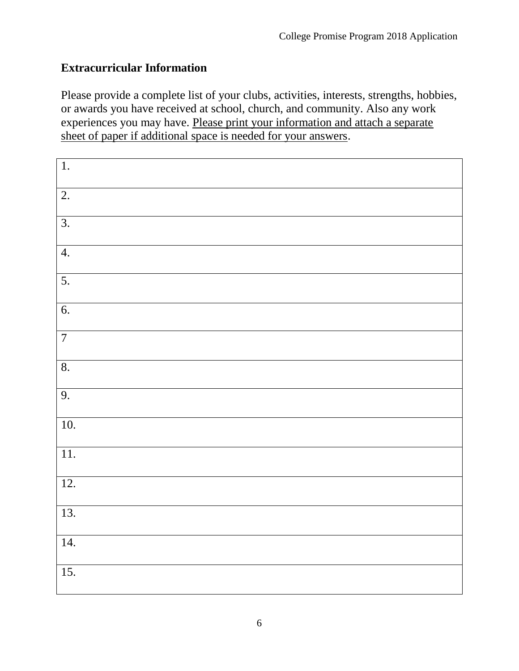## **Extracurricular Information**

Please provide a complete list of your clubs, activities, interests, strengths, hobbies, or awards you have received at school, church, and community. Also any work experiences you may have. Please print your information and attach a separate sheet of paper if additional space is needed for your answers.

| 1.                        |  |
|---------------------------|--|
| $\overline{2}$ .          |  |
| $\overline{3}$ .          |  |
| 4.                        |  |
| 5.                        |  |
| 6.                        |  |
| $\overline{7}$            |  |
| $\overline{\mathbf{8}}$ . |  |
| 9.                        |  |
| $\overline{10}$ .         |  |
| $\overline{11}$ .         |  |
| 12.                       |  |
| 13.                       |  |
| 14.                       |  |
| $\overline{15}$ .         |  |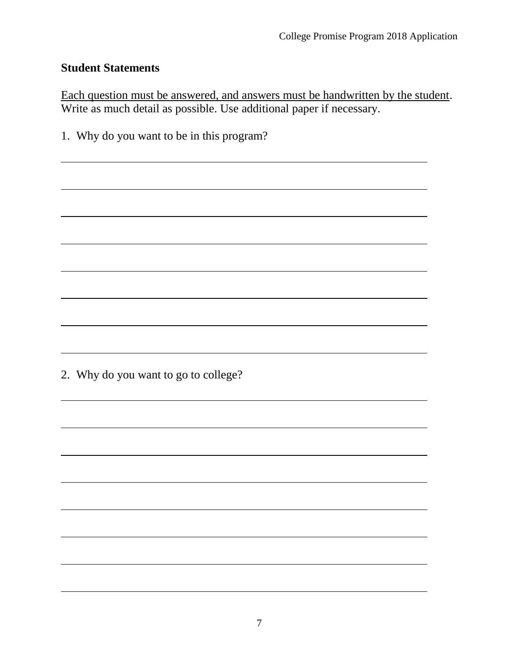#### **Student Statements**

Each question must be answered, and answers must be handwritten by the student. Write as much detail as possible. Use additional paper if necessary.

1. Why do you want to be in this program?

2. Why do you want to go to college?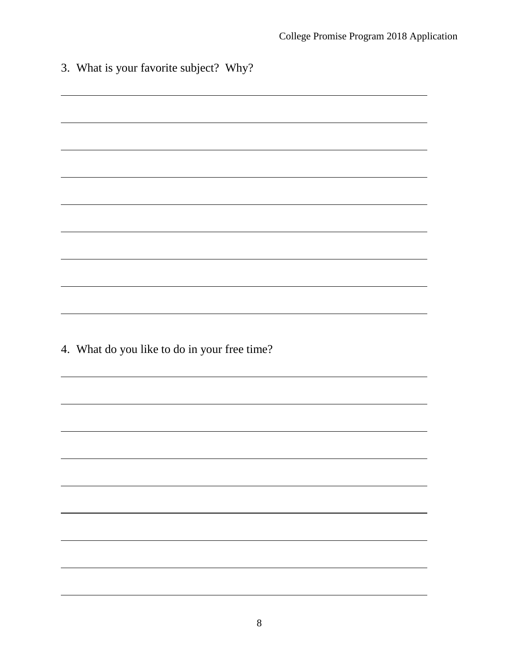| 3. What is your favorite subject? Why?       |
|----------------------------------------------|
|                                              |
|                                              |
|                                              |
|                                              |
|                                              |
|                                              |
|                                              |
|                                              |
|                                              |
| 4. What do you like to do in your free time? |
|                                              |
|                                              |
|                                              |
|                                              |
|                                              |
|                                              |
|                                              |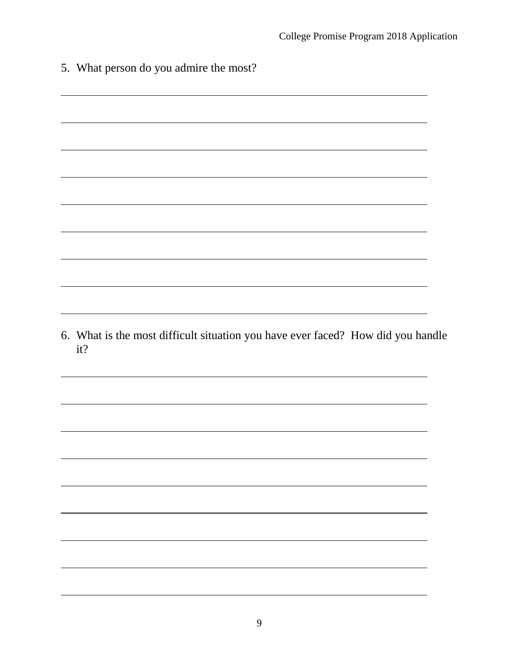| 5. What person do you admire the most?                                                 |  |
|----------------------------------------------------------------------------------------|--|
|                                                                                        |  |
|                                                                                        |  |
|                                                                                        |  |
|                                                                                        |  |
|                                                                                        |  |
|                                                                                        |  |
|                                                                                        |  |
|                                                                                        |  |
|                                                                                        |  |
|                                                                                        |  |
|                                                                                        |  |
|                                                                                        |  |
| 6. What is the most difficult situation you have ever faced? How did you handle<br>it? |  |
|                                                                                        |  |
|                                                                                        |  |
|                                                                                        |  |
|                                                                                        |  |
|                                                                                        |  |
|                                                                                        |  |
|                                                                                        |  |
|                                                                                        |  |
|                                                                                        |  |
|                                                                                        |  |
|                                                                                        |  |
|                                                                                        |  |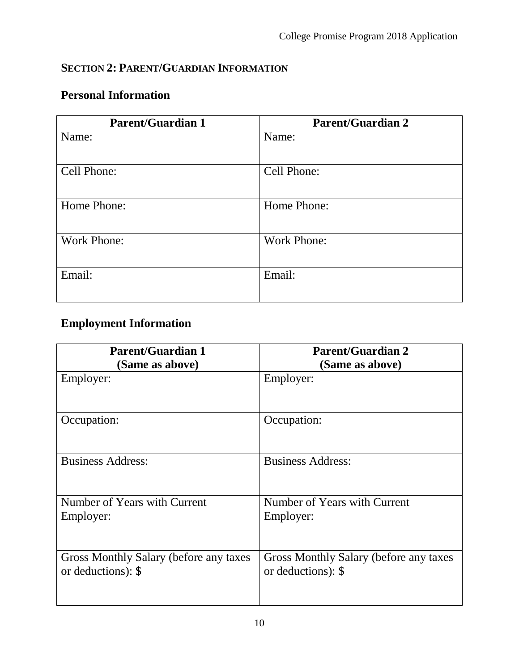## **SECTION 2: PARENT/GUARDIAN INFORMATION**

## **Personal Information**

| <b>Parent/Guardian 1</b> | <b>Parent/Guardian 2</b> |
|--------------------------|--------------------------|
| Name:                    | Name:                    |
|                          |                          |
| Cell Phone:              | Cell Phone:              |
|                          |                          |
| Home Phone:              | Home Phone:              |
|                          |                          |
| <b>Work Phone:</b>       | <b>Work Phone:</b>       |
|                          |                          |
| Email:                   | Email:                   |
|                          |                          |

# **Employment Information**

| <b>Parent/Guardian 1</b>               | <b>Parent/Guardian 2</b>               |
|----------------------------------------|----------------------------------------|
| (Same as above)                        | (Same as above)                        |
| Employer:                              | Employer:                              |
| Occupation:                            | Occupation:                            |
| <b>Business Address:</b>               | <b>Business Address:</b>               |
| Number of Years with Current           | Number of Years with Current           |
| Employer:                              | Employer:                              |
| Gross Monthly Salary (before any taxes | Gross Monthly Salary (before any taxes |
| or deductions): \$                     | or deductions): \$                     |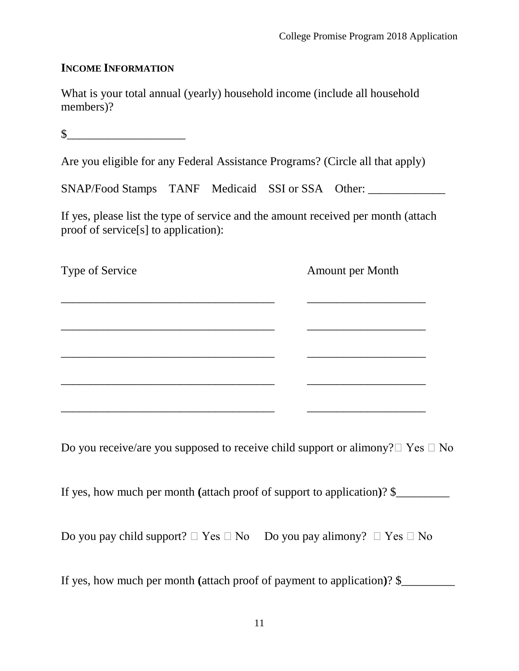#### **INCOME INFORMATION**

What is your total annual (yearly) household income (include all household members)?

 $\sim$ 

Are you eligible for any Federal Assistance Programs? (Circle all that apply)

SNAP/Food Stamps TANF Medicaid SSI or SSA Other:

If yes, please list the type of service and the amount received per month (attach proof of service[s] to application):

Type of Service Amount per Month \_\_\_\_\_\_\_\_\_\_\_\_\_\_\_\_\_\_\_\_\_\_\_\_\_\_\_\_\_\_\_\_\_\_\_\_ \_\_\_\_\_\_\_\_\_\_\_\_\_\_\_\_\_\_\_\_ \_\_\_\_\_\_\_\_\_\_\_\_\_\_\_\_\_\_\_\_\_\_\_\_\_\_\_\_\_\_\_\_\_\_\_\_ \_\_\_\_\_\_\_\_\_\_\_\_\_\_\_\_\_\_\_\_ \_\_\_\_\_\_\_\_\_\_\_\_\_\_\_\_\_\_\_\_\_\_\_\_\_\_\_\_\_\_\_\_\_\_\_\_ \_\_\_\_\_\_\_\_\_\_\_\_\_\_\_\_\_\_\_\_ \_\_\_\_\_\_\_\_\_\_\_\_\_\_\_\_\_\_\_\_\_\_\_\_\_\_\_\_\_\_\_\_\_\_\_\_ \_\_\_\_\_\_\_\_\_\_\_\_\_\_\_\_\_\_\_\_ \_\_\_\_\_\_\_\_\_\_\_\_\_\_\_\_\_\_\_\_\_\_\_\_\_\_\_\_\_\_\_\_\_\_\_\_ \_\_\_\_\_\_\_\_\_\_\_\_\_\_\_\_\_\_\_\_

Do you receive/are you supposed to receive child support or alimony?  $\Box$  Yes  $\Box$  No

If yes, how much per month **(**attach proof of support to application**)**? \$\_\_\_\_\_\_\_\_\_

Do you pay child support?  $\Box$  Yes  $\Box$  No Do you pay alimony?  $\Box$  Yes  $\Box$  No

If yes, how much per month **(**attach proof of payment to application**)**? \$\_\_\_\_\_\_\_\_\_